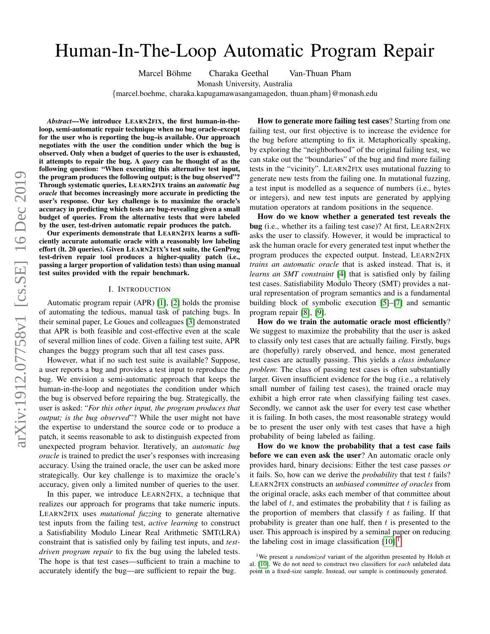# Human-In-The-Loop Automatic Program Repair

Marcel Böhme Charaka Geethal Van-Thuan Pham

Monash University, Australia

{marcel.boehme, charaka.kapugamawasangamagedon, thuan.pham}@monash.edu

*Abstract*—We introduce LEARN2FIX, the first human-in-theloop, semi-automatic repair technique when no bug oracle–except for the user who is reporting the bug–is available. Our approach negotiates with the user the condition under which the bug is observed. Only when a budget of queries to the user is exhausted, it attempts to repair the bug. A *query* can be thought of as the following question: "When executing this alternative test input, the program produces the following output; is the bug observed"? Through systematic queries, LEARN2FIX trains an *automatic bug oracle* that becomes increasingly more accurate in predicting the user's response. Our key challenge is to maximize the oracle's accuracy in predicting which tests are bug-revealing given a small budget of queries. From the alternative tests that were labeled by the user, test-driven automatic repair produces the patch.

Our experiments demonstrate that LEARN2FIX learns a sufficiently accurate automatic oracle with a reasonably low labeling effort (lt. 20 queries). Given LEARN2FIX's test suite, the GenProg test-driven repair tool produces a higher-quality patch (i.e., passing a larger proportion of validation tests) than using manual test suites provided with the repair benchmark.

## I. INTRODUCTION

Automatic program repair (APR) [\[1\]](#page-10-0), [\[2\]](#page-10-1) holds the promise of automating the tedious, manual task of patching bugs. In their seminal paper, Le Goues and colleagues [\[3\]](#page-10-2) demonstrated that APR is both feasible and cost-effective even at the scale of several million lines of code. Given a failing test suite, APR changes the buggy program such that all test cases pass.

However, what if no such test suite is available? Suppose, a user reports a bug and provides a test input to reproduce the bug. We envision a semi-automatic approach that keeps the human-in-the-loop and negotiates the condition under which the bug is observed before repairing the bug. Strategically, the user is asked: "*For this other input, the program produces that output; is the bug observed*"? While the user might not have the expertise to understand the source code or to produce a patch, it seems reasonable to ask to distinguish expected from unexpected program behavior. Iteratively, an *automatic bug oracle* is trained to predict the user's responses with increasing accuracy. Using the trained oracle, the user can be asked more strategically. Our key challenge is to maximize the oracle's accuracy, given only a limited number of queries to the user.

In this paper, we introduce LEARN2FIX, a technique that realizes our approach for programs that take numeric inputs. LEARN2FIX uses *mutational fuzzing* to generate alternative test inputs from the failing test, *active learning* to construct a Satisfiability Modulo Linear Real Arithmetic SMT(LRA) constraint that is satisfied only by failing test inputs, and *testdriven program repair* to fix the bug using the labeled tests. The hope is that test cases—sufficient to train a machine to accurately identify the bug—are sufficient to repair the bug.

How to generate more failing test cases? Starting from one failing test, our first objective is to increase the evidence for the bug before attempting to fix it. Metaphorically speaking, by exploring the "neighborhood" of the original failing test, we can stake out the "boundaries" of the bug and find more failing tests in the "vicinity". LEARN2FIX uses mutational fuzzing to generate new tests from the failing one. In mutational fuzzing, a test input is modelled as a sequence of numbers (i.e., bytes or integers), and new test inputs are generated by applying mutation operators at random positions in the sequence.

How do we know whether a generated test reveals the bug (i.e., whether its a failing test case)? At first, LEARN2FIX asks the user to classify. However, it would be impractical to ask the human oracle for every generated test input whether the program produces the expected output. Instead, LEARN2FIX *trains an automatic oracle* that is asked instead. That is, it *learns an SMT constraint* [\[4\]](#page-10-3) that is satisfied only by failing test cases. Satisfiability Modulo Theory (SMT) provides a natural representation of program semantics and is a fundamental building block of symbolic execution [\[5\]](#page-10-4)–[\[7\]](#page-10-5) and semantic program repair [\[8\]](#page-10-6), [\[9\]](#page-10-7).

How do we train the automatic oracle most efficiently? We suggest to maximize the probability that the user is asked to classify only test cases that are actually failing. Firstly, bugs are (hopefully) rarely observed, and hence, most generated test cases are actually passing. This yields a *class imbalance problem*: The class of passing test cases is often substantially larger. Given insufficient evidence for the bug (i.e., a relatively small number of failing test cases), the trained oracle may exhibit a high error rate when classifying failing test cases. Secondly, we cannot ask the user for every test case whether it is failing. In both cases, the most reasonable strategy would be to present the user only with test cases that have a high probability of being labeled as failing.

How do we know the probability that a test case fails before we can even ask the user? An automatic oracle only provides hard, binary decisions: Either the test case passes *or* it fails. So, how can we derive the *probability* that test t fails? LEARN2FIX constructs an *unbiased committee of oracles* from the original oracle, asks each member of that committee about the label of  $t$ , and estimates the probability that  $t$  is failing as the proportion of members that classify  $t$  as failing. If that probability is greater than one half, then  $t$  is presented to the user. This approach is inspired by a seminal paper on reducing the labeling cost in image classification  $[10]$ <sup>[1](#page-0-0)</sup>

<span id="page-0-0"></span><sup>&</sup>lt;sup>1</sup>We present a *randomized* variant of the algorithm presented by Holub et al. [\[10\]](#page-10-8). We do not need to construct two classifiers for *each* unlabeled data point in a fixed-size sample. Instead, our sample is continuously generated.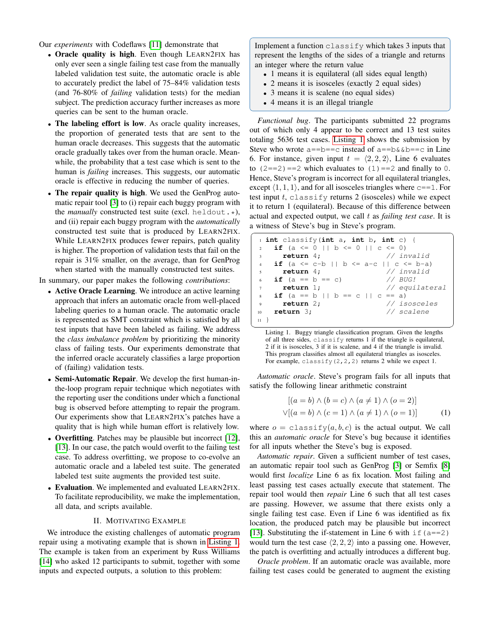Our *experiments* with Codeflaws [\[11\]](#page-10-9) demonstrate that

- Oracle quality is high. Even though LEARN2FIX has only ever seen a single failing test case from the manually labeled validation test suite, the automatic oracle is able to accurately predict the label of 75–84% validation tests (and 76-80% of *failing* validation tests) for the median subject. The prediction accuracy further increases as more queries can be sent to the human oracle.
- The labeling effort is low. As oracle quality increases, the proportion of generated tests that are sent to the human oracle decreases. This suggests that the automatic oracle gradually takes over from the human oracle. Meanwhile, the probability that a test case which is sent to the human is *failing* increases. This suggests, our automatic oracle is effective in reducing the number of queries.
- The repair quality is high. We used the GenProg automatic repair tool [\[3\]](#page-10-2) to (i) repair each buggy program with the *manually* constructed test suite (excl. heldout. $\star$ ), and (ii) repair each buggy program with the *automatically* constructed test suite that is produced by LEARN2FIX. While LEARN2FIX produces fewer repairs, patch quality is higher. The proportion of validation tests that fail on the repair is 31% smaller, on the average, than for GenProg when started with the manually constructed test suites.

In summary, our paper makes the following *contributions*:

- Active Oracle Learning. We introduce an active learning approach that infers an automatic oracle from well-placed labeling queries to a human oracle. The automatic oracle is represented as SMT constraint which is satisfied by all test inputs that have been labeled as failing. We address the *class imbalance problem* by prioritizing the minority class of failing tests. Our experiments demonstrate that the inferred oracle accurately classifies a large proportion of (failing) validation tests.
- Semi-Automatic Repair. We develop the first human-inthe-loop program repair technique which negotiates with the reporting user the conditions under which a functional bug is observed before attempting to repair the program. Our experiments show that LEARN2FIX's patches have a quality that is high while human effort is relatively low.
- Overfitting. Patches may be plausible but incorrect [\[12\]](#page-10-10), [\[13\]](#page-10-11). In our case, the patch would overfit to the failing test case. To address overfitting, we propose to co-evolve an automatic oracle and a labeled test suite. The generated labeled test suite augments the provided test suite.
- Evaluation. We implemented and evaluated LEARN2FIX. To facilitate reproducibility, we make the implementation, all data, and scripts available.

## II. MOTIVATING EXAMPLE

<span id="page-1-2"></span>We introduce the existing challenges of automatic program repair using a motivating example that is shown in [Listing 1.](#page-1-0) The example is taken from an experiment by Russ Williams [\[14\]](#page-10-12) who asked 12 participants to submit, together with some inputs and expected outputs, a solution to this problem:

Implement a function classify which takes 3 inputs that represent the lengths of the sides of a triangle and returns an integer where the return value

- 1 means it is equilateral (all sides equal length)
- 2 means it is isosceles (exactly 2 equal sides)
- 3 means it is scalene (no equal sides)
- 4 means it is an illegal triangle

*Functional bug*. The participants submitted 22 programs out of which only 4 appear to be correct and 13 test suites totaling 5636 test cases. [Listing 1](#page-1-0) shows the submission by Steve who wrote  $a = b = c$  instead of  $a = b \& b = c$  in Line 6. For instance, given input  $t = \langle 2, 2, 2 \rangle$ , Line 6 evaluates to  $(2 == 2) == 2$  which evaluates to  $(1) == 2$  and finally to 0. Hence, Steve's program is incorrect for all equilateral triangles, except  $\langle 1, 1, 1 \rangle$ , and for all isosceles triangles where c==1. For test input  $t$ , classify returns 2 (isosceles) while we expect it to return 1 (equilateral). Because of this difference between actual and expected output, we call t as *failing test case*. It is a witness of Steve's bug in Steve's program.

<span id="page-1-0"></span>

| $_1$ int classify(int a, int b, int c) {                 |                |  |  |
|----------------------------------------------------------|----------------|--|--|
| <b>if</b> (a <= 0    b <= 0    c <= 0)<br>$\overline{2}$ |                |  |  |
| return $4$ ;<br>$\overline{\mathbf{3}}$                  | // invalid     |  |  |
| $\overline{4}$                                           |                |  |  |
| return $4$ ;<br>5                                        | // invalid     |  |  |
| <b>if</b> (a == b == c)<br>6                             | // BUG!        |  |  |
| return $1$ ;<br>$\overline{7}$                           | // equilateral |  |  |
| <b>if</b> (a == b    b == c    c == a)<br>$\mathbf{g}$   |                |  |  |
| return 2;<br>9                                           | // isosceles   |  |  |
| return 3;<br>10                                          | // scalene     |  |  |
|                                                          |                |  |  |

Listing 1. Buggy triangle classification program. Given the lengths of all three sides, classify returns 1 if the triangle is equilateral, 2 if it is isosceles, 3 if it is scalene, and 4 if the triangle is invalid. This program classifies almost all equilateral triangles as isosceles. For example, classify(2,2,2) returns 2 while we expect 1.

*Automatic oracle*. Steve's program fails for all inputs that satisfy the following linear arithmetic constraint

<span id="page-1-1"></span>
$$
[(a = b) \land (b = c) \land (a \neq 1) \land (o = 2)]
$$
  
\n
$$
\lor [(a = b) \land (c = 1) \land (a \neq 1) \land (o = 1)]
$$
 (1)

where  $o = \text{classify}(a, b, c)$  is the actual output. We call this an *automatic oracle* for Steve's bug because it identifies for all inputs whether the Steve's bug is exposed.

*Automatic repair*. Given a sufficient number of test cases, an automatic repair tool such as GenProg [\[3\]](#page-10-2) or Semfix [\[8\]](#page-10-6) would first *localize* Line 6 as fix location. Most failing and least passing test cases actually execute that statement. The repair tool would then *repair* Line 6 such that all test cases are passing. However, we assume that there exists only a single failing test case. Even if Line 6 was identified as fix location, the produced patch may be plausible but incorrect [\[13\]](#page-10-11). Substituting the if-statement in Line 6 with  $if$  (a==2) would turn the test case  $\langle 2, 2, 2 \rangle$  into a passing one. However, the patch is overfitting and actually introduces a different bug.

*Oracle problem*. If an automatic oracle was available, more failing test cases could be generated to augment the existing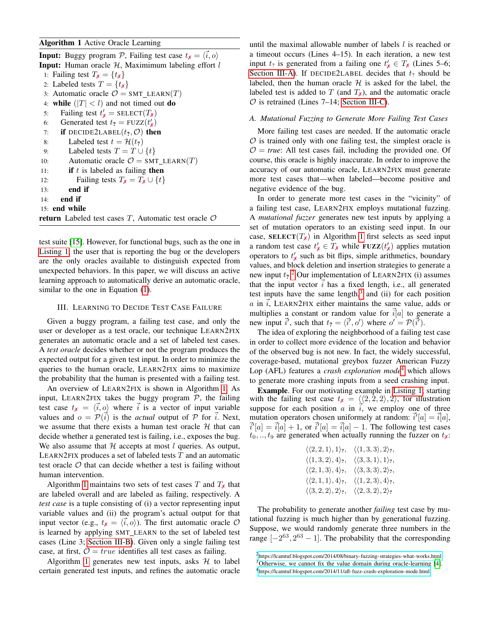# <span id="page-2-0"></span>Algorithm 1 Active Oracle Learning

**Input:** Buggy program  $P$ , Failing test case  $t_{\mathbf{X}} = \langle i, o \rangle$ **Input:** Human oracle  $H$ , Maximimum labeling effort  $l$ 1: Failing test  $T_{\mathbf{X}} = \{t_{\mathbf{X}}\}$ 2: Labeled tests  $T = \{t_{\mathbf{x}}\}$ 3: Automatic oracle  $\mathcal{O} = \text{SMT\_LEARN}(T)$ 4: while  $(|T| < l)$  and not timed out **do** 5: Failing test  $t'_{\mathbf{x}} = \text{SELECT}(T_{\mathbf{x}})$ 6: Generated test  $t_2 = \text{FUZZ}(t'_\text{X})$ 7: if DECIDE2LABEL $(t_2, \mathcal{O})$  then 8: Labeled test  $t = \mathcal{H}(t_2)$ 9: Labeled tests  $T = T \cup \{t\}$ 10: Automatic oracle  $\mathcal{O} = \text{SMT}$  LEARN(T) 11: **if**  $t$  is labeled as failing **then** 12: Failing tests  $T_x = T_x \cup \{t\}$ 13: end if 14: end if 15: end while **return** Labeled test cases  $T$ , Automatic test oracle  $\mathcal{O}$ 

test suite [\[15\]](#page-10-13). However, for functional bugs, such as the one in [Listing 1,](#page-1-0) the user that is reporting the bug or the developers are the only oracles available to distinguish expected from unexpected behaviors. In this paper, we will discuss an active learning approach to automatically derive an automatic oracle, similar to the one in Equation [\(1\)](#page-1-1).

## III. LEARNING TO DECIDE TEST CASE FAILURE

Given a buggy program, a failing test case, and only the user or developer as a test oracle, our technique LEARN2FIX generates an automatic oracle and a set of labeled test cases. A *test oracle* decides whether or not the program produces the expected output for a given test input. In order to minimize the queries to the human oracle, LEARN2FIX aims to maximize the probability that the human is presented with a failing test.

An overview of LEARN2FIX is shown in Algorithm [1.](#page-2-0) As input, LEARN2FIX takes the buggy program  $P$ , the failing test case  $t_{\mathbf{x}} = \langle \vec{i}, o \rangle$  where  $\vec{i}$  is a vector of input variable values and  $o = \mathcal{P}(\vec{i})$  is the *actual* output of  $\mathcal P$  for  $\vec{i}$ . Next, we assume that there exists a human test oracle  $H$  that can decide whether a generated test is failing, i.e., exposes the bug. We also assume that  $H$  accepts at most  $l$  queries. As output, LEARN2FIX produces a set of labeled tests  $T$  and an automatic test oracle  $\mathcal O$  that can decide whether a test is failing without human intervention.

Algorithm [1](#page-2-0) maintains two sets of test cases  $T$  and  $T<sub>x</sub>$  that are labeled overall and are labeled as failing, respectively. A *test case* is a tuple consisting of (i) a vector representing input variable values and (ii) the program's actual output for that input vector (e.g.,  $t_{\mathbf{X}} = \langle \vec{i}, \rho \rangle$ ). The first automatic oracle  $\mathcal{O}$ is learned by applying SMT LEARN to the set of labeled test cases (Line 3; [Section III-B\)](#page-3-0). Given only a single failing test case, at first,  $\mathcal{O} = true$  identifies all test cases as failing.

Algorithm [1](#page-2-0) generates new test inputs, asks  $H$  to label certain generated test inputs, and refines the automatic oracle until the maximal allowable number of labels  $l$  is reached or a timeout occurs (Lines 4–15). In each iteration, a new test input  $t_?$  is generated from a failing one  $t'_\mathbf{X} \in T_\mathbf{X}$  (Lines 5–6; [Section III-A\)](#page-2-1). If DECIDE2LABEL decides that  $t_2$  should be labeled, then the human oracle  $H$  is asked for the label, the labeled test is added to  $T$  (and  $T<sub>x</sub>$ ), and the automatic oracle  $O$  is retrained (Lines 7–14; [Section III-C\)](#page-3-1).

## <span id="page-2-1"></span>*A. Mutational Fuzzing to Generate More Failing Test Cases*

More failing test cases are needed. If the automatic oracle  $\mathcal O$  is trained only with one failing test, the simplest oracle is  $\mathcal{O} = \text{true}$ : All test cases fail, including the provided one. Of course, this oracle is highly inaccurate. In order to improve the accuracy of our automatic oracle, LEARN2FIX must generate more test cases that—when labeled—become positive and negative evidence of the bug.

In order to generate more test cases in the "vicinity" of a failing test case, LEARN2FIX employs mutational fuzzing. A *mutational fuzzer* generates new test inputs by applying a set of mutation operators to an existing seed input. In our case, SELECT( $T_x$ ) in Algorithm [1](#page-2-0) first selects as seed input a random test case  $t'_x \in T_x$  while  $\text{FUZZ}(t'_x)$  applies mutation operators to  $t'_{\mathbf{x}}$  such as bit flips, simple arithmetics, boundary values, and block deletion and insertion strategies to generate a new input  $t_2$  $t_2$ .<sup>2</sup> Our implementation of LEARN2FIX (i) assumes that the input vector  $\vec{i}$  has a fixed length, i.e., all generated test inputs have the same length, $3$  and (ii) for each position  $a$  in  $\vec{i}$ , LEARN2FIX either maintains the same value, adds or multiplies a constant or random value for  $\overline{i}[a]$  to generate a new input  $\vec{i}'$ , such that  $t_2 = \langle \vec{i}', \, o' \rangle$  where  $o' = \mathcal{P}(\vec{i}')$ .

The idea of exploring the neighborhood of a failing test case in order to collect more evidence of the location and behavior of the observed bug is not new. In fact, the widely successful, coverage-based, mutational greybox fuzzer American Fuzzy Lop (AFL) features a *crash exploration mode*[4](#page-2-4) which allows to generate more crashing inputs from a seed crashing input.

Example. For our motivating example in [Listing 1,](#page-1-0) starting with the failing test case  $t_{\mathbf{X}} = \langle \langle 2, 2, 2 \rangle, 2 \rangle$ , for illustration suppose for each position a in  $\vec{i}$ , we employ one of three mutation operators chosen uniformely at random:  $\vec{i}'[a] = \vec{i}[a]$ ,  $\vec{i}'[a] = \vec{i}[a] + 1$ , or  $\vec{i}'[a] = \vec{i}[a] - 1$ . The following test cases  $t_0, \ldots, t_9$  are generated when actually running the fuzzer on  $t_{\mathsf{X}}$ :

| $\langle \langle 2, 2, 1 \rangle, 1 \rangle$ ?, | $\langle \langle 1,3,3\rangle,2\rangle_2,$ |
|-------------------------------------------------|--------------------------------------------|
| $\langle \langle 1,3,2\rangle,4\rangle$ ?,      | $\langle \langle 3,3,1\rangle,1\rangle$ ?, |
| $\langle \langle 2,1,3 \rangle, 4 \rangle$ ?,   | $\langle \langle 3,3,3\rangle,2\rangle_2,$ |
| $\langle \langle 2,1,1\rangle,4\rangle$ ?,      | $\langle \langle 1,2,3\rangle,4\rangle$ ?, |
| $\langle \langle 3, 2, 2 \rangle, 2 \rangle$ ?  | $\langle \langle 2,3,2\rangle,2\rangle$ ?  |

The probability to generate another *failing* test case by mutational fuzzing is much higher than by generational fuzzing. Suppose, we would randomly generate three numbers in the range  $[-2^{63}, 2^{63} - 1]$ . The probability that the corresponding

<span id="page-2-2"></span><sup>2</sup> <https://lcamtuf.blogspot.com/2014/08/binary-fuzzing-strategies-what-works.html>

<span id="page-2-3"></span><sup>&</sup>lt;sup>3</sup>Otherwise, we cannot fix the value domain during oracle-learning [\[4\]](#page-10-3).

<span id="page-2-4"></span><sup>4</sup> <https://lcamtuf.blogspot.com/2014/11/afl-fuzz-crash-exploration-mode.html>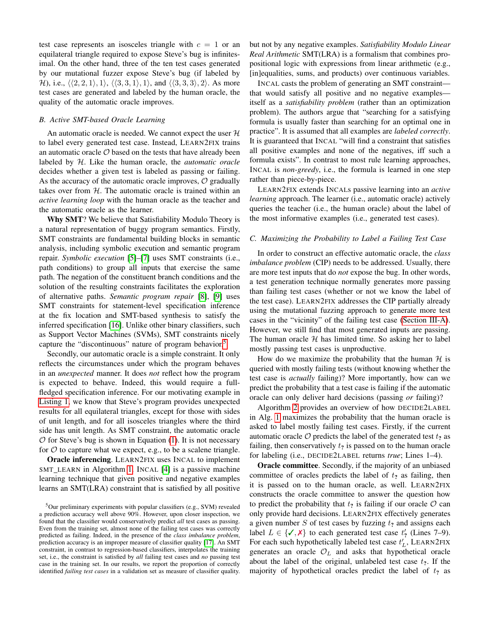test case represents an isosceles triangle with  $c = 1$  or an equilateral triangle required to expose Steve's bug is infinitesimal. On the other hand, three of the ten test cases generated by our mutational fuzzer expose Steve's bug (if labeled by  $\mathcal{H}$ , i.e.,  $\langle \langle 2, 2, 1 \rangle, 1 \rangle$ ,  $\langle \langle 3, 3, 1 \rangle, 1 \rangle$ , and  $\langle \langle 3, 3, 3 \rangle, 2 \rangle$ . As more test cases are generated and labeled by the human oracle, the quality of the automatic oracle improves.

#### <span id="page-3-0"></span>*B. Active SMT-based Oracle Learning*

An automatic oracle is needed. We cannot expect the user  $H$ to label every generated test case. Instead, LEARN2FIX trains an automatic oracle  $O$  based on the tests that have already been labeled by H. Like the human oracle, the *automatic oracle* decides whether a given test is labeled as passing or failing. As the accuracy of the automatic oracle improves,  $\mathcal O$  gradually takes over from  $H$ . The automatic oracle is trained within an *active learning loop* with the human oracle as the teacher and the automatic oracle as the learner.

Why SMT? We believe that Satisfiability Modulo Theory is a natural representation of buggy program semantics. Firstly, SMT constraints are fundamental building blocks in semantic analysis, including symbolic execution and semantic program repair. *Symbolic execution* [\[5\]](#page-10-4)–[\[7\]](#page-10-5) uses SMT constraints (i.e., path conditions) to group all inputs that exercise the same path. The negation of the constituent branch conditions and the solution of the resulting constraints facilitates the exploration of alternative paths. *Semantic program repair* [\[8\]](#page-10-6), [\[9\]](#page-10-7) uses SMT constraints for statement-level specification inference at the fix location and SMT-based synthesis to satisfy the inferred specification [\[16\]](#page-10-14). Unlike other binary classifiers, such as Support Vector Machines (SVMs), SMT constraints nicely capture the "discontinuous" nature of program behavior.<sup>[5](#page-3-2)</sup>

Secondly, our automatic oracle is a simple constraint. It only reflects the circumstances under which the program behaves in an *unexpected* manner. It does *not* reflect how the program is expected to behave. Indeed, this would require a fullfledged specification inference. For our motivating example in [Listing 1,](#page-1-0) we know that Steve's program provides unexpected results for all equilateral triangles, except for those with sides of unit length, and for all isosceles triangles where the third side has unit length. As SMT constraint, the automatic oracle  $O$  for Steve's bug is shown in Equation [\(1\)](#page-1-1). It is not necessary for  $\mathcal O$  to capture what we expect, e.g., to be a scalene triangle.

Oracle inferencing. LEARN2FIX uses INCAL to implement SMT LEARN in Algorithm [1.](#page-2-0) INCAL [\[4\]](#page-10-3) is a passive machine learning technique that given positive and negative examples learns an SMT(LRA) constraint that is satisfied by all positive but not by any negative examples. *Satisfiability Modulo Linear Real Arithmetic* SMT(LRA) is a formalism that combines propositional logic with expressions from linear arithmetic (e.g., [in]equalities, sums, and products) over continuous variables.

INCAL casts the problem of generating an SMT constraint that would satisfy all positive and no negative examples itself as a *satisfiability problem* (rather than an optimization problem). The authors argue that "searching for a satisfying formula is usually faster than searching for an optimal one in practice". It is assumed that all examples are *labeled correctly*. It is guaranteed that INCAL "will find a constraint that satisfies all positive examples and none of the negatives, iff such a formula exists". In contrast to most rule learning approaches, INCAL is *non-greedy*, i.e., the formula is learned in one step rather than piece-by-piece.

LEARN2FIX extends INCALs passive learning into an *active learning* approach. The learner (i.e., automatic oracle) actively queries the teacher (i.e., the human oracle) about the label of the most informative examples (i.e., generated test cases).

# <span id="page-3-1"></span>*C. Maximizing the Probability to Label a Failing Test Case*

In order to construct an effective automatic oracle, the *class imbalance problem* (CIP) needs to be addressed. Usually, there are more test inputs that do *not* expose the bug. In other words, a test generation technique normally generates more passing than failing test cases (whether or not we know the label of the test case). LEARN2FIX addresses the CIP partially already using the mutational fuzzing approach to generate more test cases in the "vicinity" of the failing test case [\(Section III-A\)](#page-2-1). However, we still find that most generated inputs are passing. The human oracle  $H$  has limited time. So asking her to label mostly passing test cases is unproductive.

How do we maximize the probability that the human  $H$  is queried with mostly failing tests (without knowing whether the test case is *actually* failing)? More importantly, how can we predict the probability that a test case is failing if the automatic oracle can only deliver hard decisions (passing *or* failing)?

Algorithm [2](#page-4-0) provides an overview of how DECIDE2LABEL in Alg. [1](#page-2-0) maximizes the probability that the human oracle is asked to label mostly failing test cases. Firstly, if the current automatic oracle  $O$  predicts the label of the generated test  $t_2$  as failing, then conservatively  $t_2$  is passed on to the human oracle for labeling (i.e., DECIDE2LABEL returns *true*; Lines 1–4).

Oracle committee. Secondly, if the majority of an unbiased committee of oracles predicts the label of  $t_2$  as failing, then it is passed on to the human oracle, as well. LEARN2FIX constructs the oracle committee to answer the question how to predict the probability that  $t_2$  is failing if our oracle  $\mathcal O$  can only provide hard decisions. LEARN2FIX effectively generates a given number  $S$  of test cases by fuzzing  $t_2$  and assigns each label  $L \in \{\checkmark, \checkmark\}$  to each generated test case  $t'_2$  (Lines 7–9). For each such hypothetically labeled test case  $t'_L$ , LEARN2FIX generates an oracle  $\mathcal{O}_L$  and asks that hypothetical oracle about the label of the original, unlabeled test case  $t_2$ . If the majority of hypothetical oracles predict the label of  $t_2$  as

<span id="page-3-2"></span><sup>5</sup>Our preliminary experiments with popular classifiers (e.g., SVM) revealed a prediction accuracy well above 90%. However, upon closer inspection, we found that the classifier would conservatively predict *all* test cases as passing. Even from the training set, almost none of the failing test cases was correctly predicted as failing. Indeed, in the presence of the *class imbalance problem*, prediction accuracy is an improper measure of classifier quality [\[17\]](#page-10-15). An SMT constraint, in contrast to regression-based classifiers, interpolates the training set, i.e., the constraint is satisfied by *all* failing test cases and *no* passing test case in the training set. In our results, we report the proportion of correctly identified *failing test cases* in a validation set as measure of classifier quality.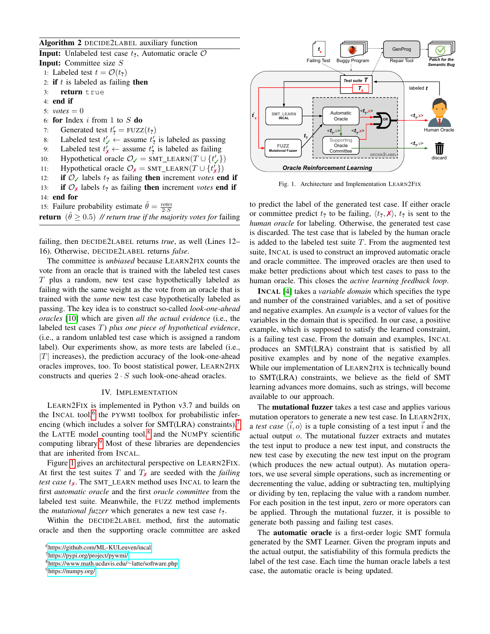# <span id="page-4-0"></span>Algorithm 2 DECIDE2LABEL auxiliary function

**Input:** Unlabeled test case  $t_2$ , Automatic oracle  $\mathcal{O}$ Input: Committee size S 1: Labeled test  $t = \mathcal{O}(t_2)$ 2: if  $t$  is labeled as failing then 3: return true 4: end if 5:  $votes = 0$ 6: for Index  $i$  from 1 to  $S$  do 7: Generated test  $t'_2 = FUZZ(t_2)$ 8: Labeled test  $t'_{\ell} \leftarrow$  assume  $t'_{\ell}$  is labeled as passing 9: Labeled test  $t'_\text{X} \leftarrow$  assume  $t'_2$  is labeled as failing 10: Hypothetical oracle  $\mathcal{O}_{\checkmark} = \text{SMT\_LEARN}(T \cup \{t'_{\checkmark}\})$ 11: Hypothetical oracle  $\mathcal{O}_X = \text{SMT\_LEARN}(T \cup \{t_X^j\})$ 12: if  $O_V$  labels  $t_2$  as failing then increment *votes* end if 13: if  $\mathcal{O}_\mathbf{X}$  labels  $t_2$  as failing then increment *votes* end if 14: end for 15: Failure probability estimate  $\hat{\theta} = \frac{\text{votes}}{2 \cdot S}$ **return**  $(\hat{\theta} \ge 0.5)$  // return true if the majority votes for failing

failing, then DECIDE2LABEL returns *true*, as well (Lines 12– 16). Otherwise, DECIDE2LABEL returns *false*.

The committee is *unbiased* because LEARN2FIX counts the vote from an oracle that is trained with the labeled test cases T plus a random, new test case hypothetically labeled as failing with the same weight as the vote from an oracle that is trained with the *same* new test case hypothetically labeled as passing. The key idea is to construct so-called *look-one-ahead oracles* [\[10\]](#page-10-8) which are given *all the actual evidence* (i.e., the labeled test cases T) *plus one piece of hypothetical evidence*, (i.e., a random unlabled test case which is assigned a random label). Our experiments show, as more tests are labeled (i.e.,  $|T|$  increases), the prediction accuracy of the look-one-ahead oracles improves, too. To boost statistical power, LEARN2FIX constructs and queries  $2 \cdot S$  such look-one-ahead oracles.

#### IV. IMPLEMENTATION

LEARN2FIX is implemented in Python v3.7 and builds on the INCAL tool,<sup>[6](#page-4-1)</sup> the PYWMI toolbox for probabilistic inferencing (which includes a solver for SMT(LRA) constraints), $^7$  $^7$ the LATTE model counting tool, $8$  and the NUMPY scientific computing library.[9](#page-4-4) Most of these libraries are dependencies that are inherited from INCAL.

Figure [1](#page-4-5) gives an architectural perspective on LEARN2FIX. At first the test suites  $T$  and  $T<sub>x</sub>$  are seeded with the *failing test case*  $t_{\text{X}}$ . The SMT\_LEARN method uses INCAL to learn the first *automatic oracle* and the first *oracle committee* from the labeled test suite. Meanwhile, the FUZZ method implements the *mutational fuzzer* which generates a new test case  $t_2$ .

Within the DECIDE2LABEL method, first the automatic oracle and then the supporting oracle committee are asked

<span id="page-4-1"></span>

<span id="page-4-2"></span><sup>7</sup><https://pypi.org/project/pywmi/>

<span id="page-4-4"></span><sup>9</sup><https://numpy.org/>



<span id="page-4-5"></span>Fig. 1. Architecture and Implementation LEARN2FIX

to predict the label of the generated test case. If either oracle or committee predict  $t_2$  to be failing,  $\langle t_2, \mathbf{X} \rangle$ ,  $t_2$  is sent to the *human oracle* for labeling. Otherwise, the generated test case is discarded. The test case that is labeled by the human oracle is added to the labeled test suite  $T$ . From the augmented test suite, INCAL is used to construct an improved automatic oracle and oracle committee. The improved oracles are then used to make better predictions about which test cases to pass to the human oracle. This closes the *active learning feedback loop*.

INCAL [\[4\]](#page-10-3) takes a *variable domain* which specifies the type and number of the constrained variables, and a set of positive and negative examples. An *example* is a vector of values for the variables in the domain that is specified. In our case, a positive example, which is supposed to satisfy the learned constraint, is a failing test case. From the domain and examples, INCAL produces an SMT(LRA) constraint that is satisfied by all positive examples and by none of the negative examples. While our implementation of LEARN2FIX is technically bound to SMT(LRA) constraints, we believe as the field of SMT learning advances more domains, such as strings, will become available to our approach.

The mutational fuzzer takes a test case and applies various mutation operators to generate a new test case. In LEARN2FIX, a *test case*  $\langle \vec{i}, o \rangle$  is a tuple consisting of a test input  $\vec{i}$  and the actual output o. The mutational fuzzer extracts and mutates the test input to produce a new test input, and constructs the new test case by executing the new test input on the program (which produces the new actual output). As mutation operators, we use several simple operations, such as incrementing or decrementing the value, adding or subtracting ten, multiplying or dividing by ten, replacing the value with a random number. For each position in the test input, zero or more operators can be applied. Through the mutational fuzzer, it is possible to generate both passing and failing test cases.

The automatic oracle is a first-order logic SMT formula generated by the SMT Learner. Given the program inputs and the actual output, the satisfiability of this formula predicts the label of the test case. Each time the human oracle labels a test case, the automatic oracle is being updated.

<span id="page-4-3"></span><sup>8</sup>[https://www.math.ucdavis.edu/](https://www.math.ucdavis.edu/~latte/software.php)∼latte/software.php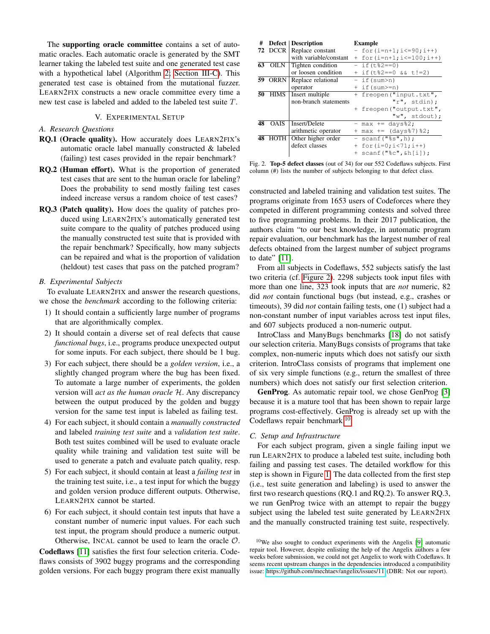The supporting oracle committee contains a set of automatic oracles. Each automatic oracle is generated by the SMT learner taking the labeled test suite and one generated test case with a hypothetical label (Algorithm [2;](#page-4-0) [Section III-C\)](#page-3-1). This generated test case is obtained from the mutational fuzzer. LEARN2FIX constructs a new oracle committee every time a new test case is labeled and added to the labeled test suite T.

# V. EXPERIMENTAL SETUP

## *A. Research Questions*

- RQ.1 (Oracle quality). How accurately does LEARN2FIX's automatic oracle label manually constructed & labeled (failing) test cases provided in the repair benchmark?
- RQ.2 (Human effort). What is the proportion of generated test cases that are sent to the human oracle for labeling? Does the probability to send mostly failing test cases indeed increase versus a random choice of test cases?
- RQ.3 (Patch quality). How does the quality of patches produced using LEARN2FIX's automatically generated test suite compare to the quality of patches produced using the manually constructed test suite that is provided with the repair benchmark? Specifically, how many subjects can be repaired and what is the proportion of validation (heldout) test cases that pass on the patched program?

## <span id="page-5-2"></span>*B. Experimental Subjects*

To evaluate LEARN2FIX and answer the research questions, we chose the *benchmark* according to the following criteria:

- 1) It should contain a sufficiently large number of programs that are algorithmically complex.
- 2) It should contain a diverse set of real defects that cause *functional bugs*, i.e., programs produce unexpected output for some inputs. For each subject, there should be 1 bug.
- 3) For each subject, there should be a *golden version*, i.e., a slightly changed program where the bug has been fixed. To automate a large number of experiments, the golden version will *act as the human oracle* H. Any discrepancy between the output produced by the golden and buggy version for the same test input is labeled as failing test.
- 4) For each subject, it should contain a *manually constructed* and labeled *training test suite* and a *validation test suite*. Both test suites combined will be used to evaluate oracle quality while training and validation test suite will be used to generate a patch and evaluate patch quality, resp.
- 5) For each subject, it should contain at least a *failing test* in the training test suite, i.e., a test input for which the buggy and golden version produce different outputs. Otherwise, LEARN2FIX cannot be started.
- 6) For each subject, it should contain test inputs that have a constant number of numeric input values. For each such test input, the program should produce a numeric output. Otherwise, INCAL cannot be used to learn the oracle  $\mathcal{O}$ .

Codeflaws [\[11\]](#page-10-9) satisfies the first four selection criteria. Codeflaws consists of 3902 buggy programs and the corresponding golden versions. For each buggy program there exist manually

| #  |             | <b>Defect</b> Description | <b>Example</b>                   |
|----|-------------|---------------------------|----------------------------------|
|    | 72 DCCR     | Replace constant          | $-$ for (i=n+1; i <=90; i ++)    |
|    |             | with variable/constant    | for $(i=n+1; i \le -100; i++)$   |
| 63 | <b>OILN</b> | Tighten condition         | $-$ if (t%2==0)                  |
|    |             | or loosen condition       | $+$ if (t%2==0 && t!=2)          |
| 59 | ORRN        | Replace relational        | $-$ if (sum $>$ n)               |
|    |             | operator                  | + if(sum>=n)                     |
| 50 | <b>HIMS</b> | Insert multiple           | + freopen("input.txt",           |
|    |             | non-branch statements     | "r", stdin);                     |
|    |             |                           | + freopen ("output.txt",         |
|    |             |                           | "w", stdout);                    |
| 48 | <b>OAIS</b> | Insert/Delete             | $max += days2;$                  |
|    |             | arithmetic operator       | $max += (days%7)$ $2;$<br>$^{+}$ |
| 48 | НОТН        | Other higher order        | $scant("$ s", $h)$ ;<br>-        |
|    |             | defect classes            | for $(i=0; i<71; i++)$<br>$+$    |
|    |             |                           | + scanf("%c", &h[i]);            |

<span id="page-5-0"></span>Fig. 2. Top-5 defect classes (out of 34) for our 552 Codeflaws subjects. First column (#) lists the number of subjects belonging to that defect class.

constructed and labeled training and validation test suites. The programs originate from 1653 users of Codeforces where they competed in different programming contests and solved three to five programming problems. In their 2017 publication, the authors claim "to our best knowledge, in automatic program repair evaluation, our benchmark has the largest number of real defects obtained from the largest number of subject programs to date" [\[11\]](#page-10-9).

From all subjects in Codeflaws, 552 subjects satisfy the last two criteria (cf. [Figure 2\)](#page-5-0). 2298 subjects took input files with more than one line, 323 took inputs that are *not* numeric, 82 did *not* contain functional bugs (but instead, e.g., crashes or timeouts), 39 did *not* contain failing tests, one (1) subject had a non-constant number of input variables across test input files, and 607 subjects produced a non-numeric output.

IntroClass and ManyBugs benchmarks [\[18\]](#page-10-16) do not satisfy our selection criteria. ManyBugs consists of programs that take complex, non-numeric inputs which does not satisfy our sixth criterion. IntroClass consists of programs that implement one of six very simple functions (e.g., return the smallest of three numbers) which does not satisfy our first selection criterion.

GenProg. As automatic repair tool, we chose GenProg [\[3\]](#page-10-2) because it is a mature tool that has been shown to repair large programs cost-effectively. GenProg is already set up with the Codeflaws repair benchmark.<sup>[10](#page-5-1)</sup>

# *C. Setup and Infrastructure*

For each subject program, given a single failing input we run LEARN2FIX to produce a labeled test suite, including both failing and passing test cases. The detailed workflow for this step is shown in Figure [1.](#page-4-5) The data collected from the first step (i.e., test suite generation and labeling) is used to answer the first two research questions (RQ.1 and RQ.2). To answer RQ.3, we run GenProg twice with an attempt to repair the buggy subject using the labeled test suite generated by LEARN2FIX and the manually constructed training test suite, respectively.

<span id="page-5-1"></span> $10$ We also sought to conduct experiments with the Angelix [\[9\]](#page-10-7) automatic repair tool. However, despite enlisting the help of the Angelix authors a few weeks before submission, we could not get Angelix to work with Codeflaws. It seems recent upstream changes in the dependencies introduced a compatibility issue:<https://github.com/mechtaev/angelix/issues/11> (DBR: Not our report).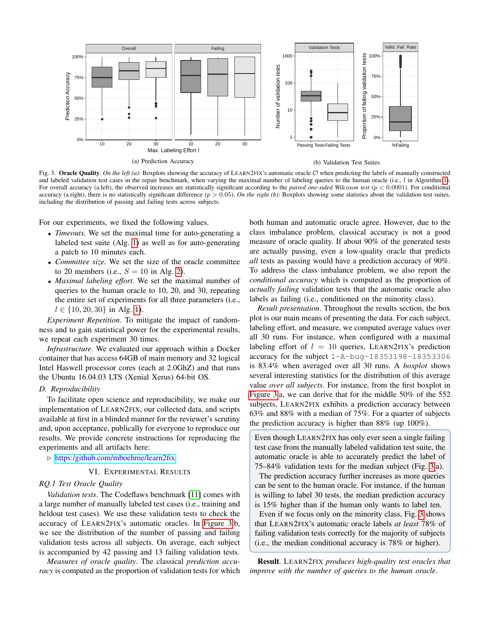

<span id="page-6-0"></span>Fig. 3. **Oracle Quality**. *On the left (a)*: Boxplots showing the accuracy of LEARN2FIX's automatic oracle  $\mathcal{O}$  when predicting the labels of manually constructed and labeled validation test cases in the repair benchmark, when varying the maximal number of labeling queries to the human oracle (i.e.,  $l$  in Algorithm [1\)](#page-2-0). For overall accuracy (a.left), the observed increases are statistically significant according to the *paired one-sided Wilcoxon test* (p < 0.0001). For conditional accuracy (a.right), there is no statistically significant difference  $(p > 0.05)$ . *On the right (b)*: Boxplots showing some statistics about the validation test suites, including the distribution of passing and failing tests across subjects.

For our experiments, we fixed the following values.

- *Timeouts.* We set the maximal time for auto-generating a labeled test suite (Alg. [1\)](#page-2-0) as well as for auto-generating a patch to 10 minutes each.
- *Committee size.* We set the size of the oracle committee to 20 members (i.e.,  $S = 10$  in Alg. [2\)](#page-4-0).
- *Maximal labeling effort*. We set the maximal number of queries to the human oracle to 10, 20, and 30, repeating the entire set of experiments for all three parameters (i.e.,  $l \in \{10, 20, 30\}$  in Alg. [1\)](#page-2-0).

*Experiment Repetition*. To mitigate the impact of randomness and to gain statistical power for the experimental results, we repeat each experiment 30 times.

*Infrastructure*. We evaluated our approach within a Docker container that has access 64GB of main memory and 32 logical Intel Haswell processor cores (each at 2.0GhZ) and that runs the Ubuntu 16.04.03 LTS (Xenial Xerus) 64-bit OS.

#### *D. Reproducibility*

To facilitate open science and reproducibility, we make our implementation of LEARN2FIX, our collected data, and scripts available at first in a blinded manner for the reviewer's scrutiny and, upon acceptance, publically for everyone to reproduce our results. We provide concrete instructions for reproducing the experiments and all artifacts here:

. <https:/github.com/mboehme/learn2fix>

# VI. EXPERIMENTAL RESULTS

# *RQ.1 Test Oracle Quality*

*Validation tests*. The Codeflaws benchmark [\[11\]](#page-10-9) comes with a large number of manually labeled test cases (i.e., training and heldout test cases). We use these validation tests to check the accuracy of LEARN2FIX's automatic oracles. In [Figure 3.](#page-6-0)b, we see the distribution of the number of passing and failing validation tests across all subjects. On average, each subject is accompanied by 42 passing and 13 failing validation tests.

*Measures of oracle quality*. The classical *prediction accuracy* is computed as the proportion of validation tests for which both human and automatic oracle agree. However, due to the class imbalance problem, classical accuracy is not a good measure of oracle quality. If about 90% of the generated tests are actually passing, even a low-quality oracle that predicts *all* tests as passing would have a prediction accuracy of 90%. To address the class imbalance problem, we also report the *conditional accuracy* which is computed as the proportion of *actually failing* validation tests that the automatic oracle also labels as failing (i.e., conditioned on the minority class).

*Result presentation*. Throughout the results section, the box plot is our main means of presenting the data. For each subject, labeling effort, and measure, we computed average values over all 30 runs. For instance, when configured with a maximal labeling effort of  $l = 10$  queries, LEARN2FIX's prediction accuracy for the subject 1-A-bug-18353198-18353306 is 83.4% when averaged over all 30 runs. A *boxplot* shows several interesting statistics for the distribution of this average value *over all subjects*. For instance, from the first boxplot in [Figure 3.](#page-6-0)a, we can derive that for the middle 50% of the 552 subjects, LEARN2FIX exhibits a prediction accuracy between 63% and 88% with a median of 75%. For a quarter of subjects the prediction accuracy is higher than 88% (up 100%).

Even though LEARN2FIX has only ever seen a single failing test case from the manually labeled validation test suite, the automatic oracle is able to accurately predict the label of 75–84% validation tests for the median subject (Fig. [3.](#page-6-0)a).

The prediction accuracy further increases as more queries can be sent to the human oracle. For instance, if the human is willing to label 30 tests, the median prediction accuracy is 15% higher than if the human only wants to label ten.

Even if we focus only on the minority class, Fig. [3](#page-6-0) shows that LEARN2FIX's automatic oracle labels *at least* 78% of failing validation tests correctly for the majority of subjects (i.e., the median conditional accuracy is 78% or higher).

Result. LEARN2FIX *produces high-quality test oracles that improve with the number of queries to the human oracle.*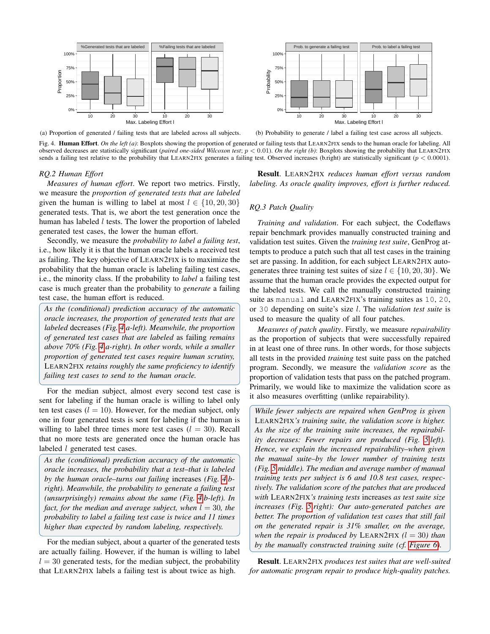

(a) Proportion of generated / failing tests that are labeled across all subjects.

<span id="page-7-0"></span>Fig. 4. **Human Effort.** On the left (a): Boxplots showing the proportion of generated or failing tests that LEARN2FIX sends to the human oracle for labeling. All observed decreases are statistically significant (*paired one-sided Wilcoxon test*; p < 0.01). *On the right (b)*: Boxplots showing the probability that LEARN2FIX sends a failing test relative to the probability that LEARN2FIX generates a failing test. Observed increases (b.right) are statistically significant ( $p < 0.0001$ ).

#### *RQ.2 Human Effort*

*Measures of human effort*. We report two metrics. Firstly, we measure the *proportion of generated tests that are labeled* given the human is willing to label at most  $l \in \{10, 20, 30\}$ generated tests. That is, we abort the test generation once the human has labeled  $l$  tests. The lower the proportion of labeled generated test cases, the lower the human effort.

Secondly, we measure the *probability to label a failing test*, i.e., how likely it is that the human oracle labels a received test as failing. The key objective of LEARN2FIX is to maximize the probability that the human oracle is labeling failing test cases, i.e., the minority class. If the probability to *label* a failing test case is much greater than the probability to *generate* a failing test case, the human effort is reduced.

*As the (conditional) prediction accuracy of the automatic oracle increases, the proportion of generated tests that are labeled* decreases *(Fig. [4.](#page-7-0)a-left). Meanwhile, the proportion of generated test cases that are labeled* as failing *remains above 70% (Fig. [4.](#page-7-0)a-right). In other words, while a smaller proportion of generated test cases require human scrutiny,* LEARN2FIX *retains roughly the same proficiency to identify failing test cases to send to the human oracle.*

For the median subject, almost every second test case is sent for labeling if the human oracle is willing to label only ten test cases  $(l = 10)$ . However, for the median subject, only one in four generated tests is sent for labeling if the human is willing to label three times more test cases  $(l = 30)$ . Recall that no more tests are generated once the human oracle has labeled *l* generated test cases.

*As the (conditional) prediction accuracy of the automatic oracle increases, the probability that a test–that is labeled by the human oracle–turns out failing* increases *(Fig. [4.](#page-7-0)bright). Meanwhile, the probability to generate a failing test (unsurprisingly) remains about the same (Fig. [4.](#page-7-0)b-left). In fact, for the median and average subject, when*  $l = 30$ *, the probability to label a failing test case is twice and 11 times higher than expected by random labeling, respectively.*

For the median subject, about a quarter of the generated tests are actually failing. However, if the human is willing to label  $l = 30$  generated tests, for the median subject, the probability that LEARN2FIX labels a failing test is about twice as high.



(b) Probability to generate / label a failing test case across all subjects.

Result. LEARN2FIX *reduces human effort versus random labeling. As oracle quality improves, effort is further reduced.*

# *RQ.3 Patch Quality*

*Training and validation*. For each subject, the Codeflaws repair benchmark provides manually constructed training and validation test suites. Given the *training test suite*, GenProg attempts to produce a patch such that all test cases in the training set are passing. In addition, for each subject LEARN2FIX autogenerates three training test suites of size  $l \in \{10, 20, 30\}$ . We assume that the human oracle provides the expected output for the labeled tests. We call the manually constructed training suite as manual and LEARN2FIX's training suites as 10, 20, or 30 depending on suite's size l. The *validation test suite* is used to measure the quality of all four patches.

*Measures of patch quality*. Firstly, we measure *repairability* as the proportion of subjects that were successfully repaired in at least one of three runs. In other words, for those subjects all tests in the provided *training* test suite pass on the patched program. Secondly, we measure the *validation score* as the proportion of validation tests that pass on the patched program. Primarily, we would like to maximize the validation score as it also measures overfitting (unlike repairability).

*While fewer subjects are repaired when GenProg is given* LEARN2FIX*'s training suite, the validation score is higher. As the size of the training suite increases, the repairability decreases: Fewer repairs are produced (Fig. [5.](#page-8-0)left). Hence, we explain the increased repairability–when given the manual suite–by the lower number of training tests (Fig. [5.](#page-8-0)middle). The median and average number of manual training tests per subject is 6 and 10.8 test cases, respectively. The validation score of the patches that are produced with* LEARN2FIX*'s training tests* increases *as test suite size increases (Fig. [5.](#page-8-0)right): Our auto-generated patches are better. The proportion of validation test cases that still fail on the generated repair is 31% smaller, on the average, when the repair is produced by* LEARN2FIX *(*l = 30*) than by the manually constructed training suite (cf. [Figure 6\)](#page-8-1).*

Result. LEARN2FIX *produces test suites that are well-suited for automatic program repair to produce high-quality patches.*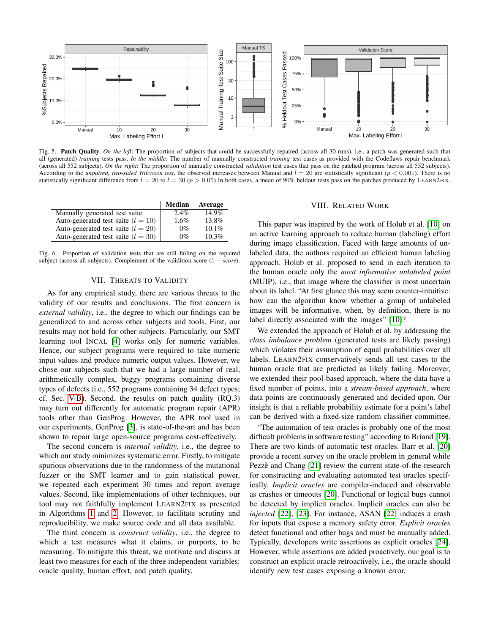

<span id="page-8-0"></span>Fig. 5. Patch Quality. *On the left*: The proportion of subjects that could be successfully repaired (across all 30 runs), i.e., a patch was generated such that all (generated) *training* tests pass. *In the middle*: The number of manually constructed *training* test cases as provided with the Codeflaws repair benchmark (across all 552 subjects). *On the right*: The proportion of manually constructed *validation* test cases that pass on the patched program (across all 552 subjects). According to the *unpaired, two-sided Wilcoxon test*, the observed increases between Manual and  $l = 20$  are statistically significant ( $p < 0.001$ ). There is no statistically significant difference from  $l = 20$  to  $l = 30$  ( $p > 0.05$ ) In both cases, a mean of 90% heldout tests pass on the patches produced by LEARN2FIX.

|                                      | Median | Average  |
|--------------------------------------|--------|----------|
| Manually generated test suite        | 2.4%   | 14.9%    |
| Auto-generated test suite $(l = 10)$ | 1.6%   | 13.8%    |
| Auto-generated test suite $(l = 20)$ | $0\%$  | $10.1\%$ |
| Auto-generated test suite $(l = 30)$ | $0\%$  | 10.3%    |

<span id="page-8-1"></span>Fig. 6. Proportion of validation tests that are still failing on the repaired subject (across all subjects). Complement of the validition score (1 − *score*).

### VII. THREATS TO VALIDITY

As for any empirical study, there are various threats to the validity of our results and conclusions. The first concern is *external validity*, i.e., the degree to which our findings can be generalized to and across other subjects and tools. First, our results may not hold for other subjects. Particularly, our SMT learning tool INCAL [\[4\]](#page-10-3) works only for numeric variables. Hence, our subject programs were required to take numeric input values and produce numeric output values. However, we chose our subjects such that we had a large number of real, arithmetically complex, buggy programs containing diverse types of defects (i.e., 552 programs containing 34 defect types; cf. Sec. [V-B\)](#page-5-2). Second, the results on patch quality (RQ.3) may turn out differently for automatic program repair (APR) tools other than GenProg. However, the APR tool used in our experiments, GenProg [\[3\]](#page-10-2), is state-of-the-art and has been shown to repair large open-source programs cost-effectively.

The second concern is *internal validity*, i.e., the degree to which our study minimizes systematic error. Firstly, to mitigate spurious observations due to the randomness of the mutational fuzzer or the SMT learner and to gain statistical power, we repeated each experiment 30 times and report average values. Second, like implementations of other techniques, our tool may not faithfully implement LEARN2FIX as presented in Algorithms [1](#page-2-0) and [2.](#page-4-0) However, to facilitate scrutiny and reproducibility, we make source code and all data available.

The third concern is *construct validity*, i.e., the degree to which a test measures what it claims, or purports, to be measuring. To mitigate this threat, we motivate and discuss at least two measures for each of the three independent variables: oracle quality, human effort, and patch quality.

#### VIII. RELATED WORK

This paper was inspired by the work of Holub et al. [\[10\]](#page-10-8) on an active learning approach to reduce human (labeling) effort during image classification. Faced with large amounts of unlabeled data, the authors required an efficient human labeling approach. Holub et al. proposed to send in each iteration to the human oracle only the *most informative unlabeled point* (MUIP), i.e., that image where the classifier is most uncertain about its label. "At first glance this may seem counter-intuitive: how can the algorithm know whether a group of unlabeled images will be informative, when, by definition, there is no label directly associated with the images" [\[10\]](#page-10-8)?

We extended the approach of Holub et al. by addressing the *class imbalance problem* (generated tests are likely passing) which violates their assumption of equal probabilities over all labels. LEARN2FIX conservatively sends all test cases to the human oracle that are predicted as likely failing. Moreover, we extended their pool-based approach, where the data have a fixed number of points, into a *stream-based approach*, where data points are continuously generated and decided upon. Our insight is that a reliable probability estimate for a point's label can be derived with a fixed-size random classifier committee.

"The automation of test oracles is probably one of the most difficult problems in software testing" according to Briand [\[19\]](#page-10-17). There are two kinds of automatic test oracles. Barr et al. [\[20\]](#page-10-18) provide a recent survey on the oracle problem in general while Pezzè and Chang [\[21\]](#page-10-19) review the current state-of-the-research for constructing and evaluating automated test oracles specifically. *Implicit oracles* are compiler-induced and observable as crashes or timeouts [\[20\]](#page-10-18). Functional or logical bugs cannot be detected by implicit oracles. Implicit oracles can also be *injected* [\[22\]](#page-10-20), [\[23\]](#page-10-21). For instance, ASAN [\[22\]](#page-10-20) induces a crash for inputs that expose a memory safety error. *Explicit oracles* detect functional and other bugs and must be manually added. Typically, developers write assertions as explicit oracles [\[24\]](#page-10-22). However, while assertions are added proactively, our goal is to construct an explicit oracle retroactively, i.e., the oracle should identify new test cases exposing a known error.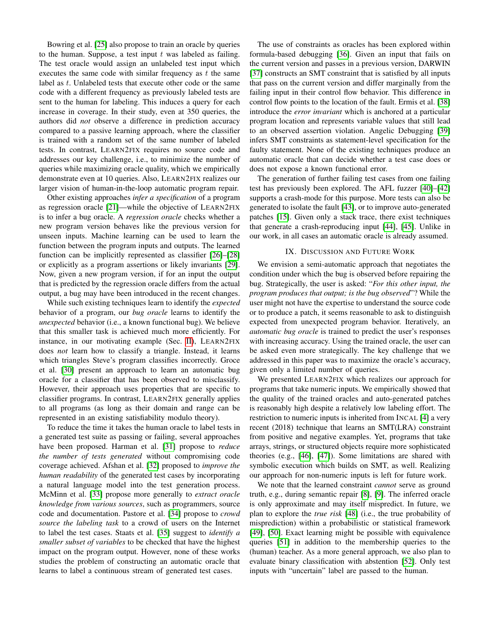Bowring et al. [\[25\]](#page-10-23) also propose to train an oracle by queries to the human. Suppose, a test input  $t$  was labeled as failing. The test oracle would assign an unlabeled test input which executes the same code with similar frequency as  $t$  the same label as t. Unlabeled tests that execute other code or the same code with a different frequency as previously labeled tests are sent to the human for labeling. This induces a query for each increase in coverage. In their study, even at 350 queries, the authors did *not* observe a difference in prediction accuracy compared to a passive learning approach, where the classifier is trained with a random set of the same number of labeled tests. In contrast, LEARN2FIX requires no source code and addresses our key challenge, i.e., to minimize the number of queries while maximizing oracle quality, which we empirically demonstrate even at 10 queries. Also, LEARN2FIX realizes our larger vision of human-in-the-loop automatic program repair.

Other existing approaches *infer a specification* of a program as regression oracle [\[21\]](#page-10-19)—while the objective of LEARN2FIX is to infer a bug oracle. A *regression oracle* checks whether a new program version behaves like the previous version for unseen inputs. Machine learning can be used to learn the function between the program inputs and outputs. The learned function can be implicitly represented as classifier [\[26\]](#page-10-24)–[\[28\]](#page-10-25) or explicitly as a program assertions or likely invariants [\[29\]](#page-10-26). Now, given a new program version, if for an input the output that is predicted by the regression oracle differs from the actual output, a bug may have been introduced in the recent changes.

While such existing techniques learn to identify the *expected* behavior of a program, our *bug oracle* learns to identify the *unexpected* behavior (i.e., a known functional bug). We believe that this smaller task is achieved much more efficiently. For instance, in our motivating example (Sec. [II\)](#page-1-2), LEARN2FIX does *not* learn how to classify a triangle. Instead, it learns which triangles Steve's program classifies incorrectly. Groce et al. [\[30\]](#page-10-27) present an approach to learn an automatic bug oracle for a classifier that has been observed to misclassify. However, their approach uses properties that are specific to classifier programs. In contrast, LEARN2FIX generally applies to all programs (as long as their domain and range can be represented in an existing satisfiability modulo theory).

To reduce the time it takes the human oracle to label tests in a generated test suite as passing or failing, several approaches have been proposed. Harman et al. [\[31\]](#page-10-28) propose to *reduce the number of tests generated* without compromising code coverage achieved. Afshan et al. [\[32\]](#page-10-29) proposed to *improve the human readability* of the generated test cases by incorporating a natural language model into the test generation process. McMinn et al. [\[33\]](#page-10-30) propose more generally to *extract oracle knowledge from various sources*, such as programmers, source code and documentation. Pastore et al. [\[34\]](#page-10-31) propose to *crowd source the labeling task* to a crowd of users on the Internet to label the test cases. Staats et al. [\[35\]](#page-11-0) suggest to *identify a smaller subset of variables* to be checked that have the highest impact on the program output. However, none of these works studies the problem of constructing an automatic oracle that learns to label a continuous stream of generated test cases.

The use of constraints as oracles has been explored within formula-based debugging [\[36\]](#page-11-1). Given an input that fails on the current version and passes in a previous version, DARWIN [\[37\]](#page-11-2) constructs an SMT constraint that is satisfied by all inputs that pass on the current version and differ marginally from the failing input in their control flow behavior. This difference in control flow points to the location of the fault. Ermis et al. [\[38\]](#page-11-3) introduce the *error invariant* which is anchored at a particular program location and represents variable values that still lead to an observed assertion violation. Angelic Debugging [\[39\]](#page-11-4) infers SMT constraints as statement-level specification for the faulty statement. None of the existing techniques produce an automatic oracle that can decide whether a test case does or does not expose a known functional error.

The generation of further failing test cases from one failing test has previously been explored. The AFL fuzzer [\[40\]](#page-11-5)–[\[42\]](#page-11-6) supports a crash-mode for this purpose. More tests can also be generated to isolate the fault [\[43\]](#page-11-7), or to improve auto-generated patches [\[15\]](#page-10-13). Given only a stack trace, there exist techniques that generate a crash-reproducing input [\[44\]](#page-11-8), [\[45\]](#page-11-9). Unlike in our work, in all cases an automatic oracle is already assumed.

#### IX. DISCUSSION AND FUTURE WORK

We envision a semi-automatic approach that negotiates the condition under which the bug is observed before repairing the bug. Strategically, the user is asked: "*For this other input, the program produces that output; is the bug observed*"? While the user might not have the expertise to understand the source code or to produce a patch, it seems reasonable to ask to distinguish expected from unexpected program behavior. Iteratively, an *automatic bug oracle* is trained to predict the user's responses with increasing accuracy. Using the trained oracle, the user can be asked even more strategically. The key challenge that we addressed in this paper was to maximize the oracle's accuracy, given only a limited number of queries.

We presented LEARN2FIX which realizes our approach for programs that take numeric inputs. We empirically showed that the quality of the trained oracles and auto-generated patches is reasonably high despite a relatively low labeling effort. The restriction to numeric inputs is inherited from INCAL [\[4\]](#page-10-3) a very recent (2018) technique that learns an SMT(LRA) constraint from positive and negative examples. Yet, programs that take arrays, strings, or structured objects require more sophisticated theories (e.g., [\[46\]](#page-11-10), [\[47\]](#page-11-11)). Some limitations are shared with symbolic execution which builds on SMT, as well. Realizing our approach for non-numeric inputs is left for future work.

We note that the learned constraint *cannot* serve as ground truth, e.g., during semantic repair [\[8\]](#page-10-6), [\[9\]](#page-10-7). The inferred oracle is only approximate and may itself mispredict. In future, we plan to explore the *true risk* [\[48\]](#page-11-12) (i.e., the true probability of misprediction) within a probabilistic or statistical framework [\[49\]](#page-11-13), [\[50\]](#page-11-14). Exact learning might be possible with equivalence queries [\[51\]](#page-11-15) in addition to the membership queries to the (human) teacher. As a more general approach, we also plan to evaluate binary classification with abstention [\[52\]](#page-11-16). Only test inputs with "uncertain" label are passed to the human.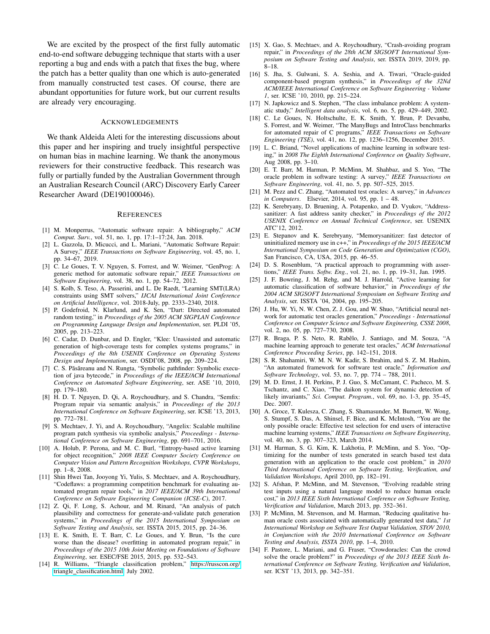We are excited by the prospect of the first fully automatic end-to-end software debugging technique that starts with a user reporting a bug and ends with a patch that fixes the bug, where the patch has a better quality than one which is auto-generated from manually constructed test cases. Of course, there are abundant opportunities for future work, but our current results are already very encouraging.

#### ACKNOWLEDGEMENTS

We thank Aldeida Aleti for the interesting discussions about this paper and her inspiring and truely insightful perspective on human bias in machine learning. We thank the anonymous reviewers for their constructive feedback. This research was fully or partially funded by the Australian Government through an Australian Research Council (ARC) Discovery Early Career Researcher Award (DE190100046).

#### **REFERENCES**

- <span id="page-10-0"></span>[1] M. Monperrus, "Automatic software repair: A bibliography," *ACM Comput. Surv.*, vol. 51, no. 1, pp. 17:1–17:24, Jan. 2018.
- <span id="page-10-1"></span>[2] L. Gazzola, D. Micucci, and L. Mariani, "Automatic Software Repair: A Survey," *IEEE Transactions on Software Engineering*, vol. 45, no. 1, pp. 34–67, 2019.
- <span id="page-10-2"></span>[3] C. Le Goues, T. V. Nguyen, S. Forrest, and W. Weimer, "GenProg: A generic method for automatic software repair," *IEEE Transactions on Software Engineering*, vol. 38, no. 1, pp. 54–72, 2012.
- <span id="page-10-3"></span>[4] S. Kolb, S. Teso, A. Passerini, and L. De Raedt, "Learning SMT(LRA) constraints using SMT solvers," *IJCAI International Joint Conference on Artificial Intelligence*, vol. 2018-July, pp. 2333–2340, 2018.
- <span id="page-10-4"></span>[5] P. Godefroid, N. Klarlund, and K. Sen, "Dart: Directed automated random testing," in *Proceedings of the 2005 ACM SIGPLAN Conference on Programming Language Design and Implementation*, ser. PLDI '05, 2005, pp. 213–223.
- [6] C. Cadar, D. Dunbar, and D. Engler, "Klee: Unassisted and automatic generation of high-coverage tests for complex systems programs," in *Proceedings of the 8th USENIX Conference on Operating Systems Design and Implementation*, ser. OSDI'08, 2008, pp. 209–224.
- <span id="page-10-5"></span>[7] C. S. Păsăreanu and N. Rungta, "Symbolic pathfinder: Symbolic execution of java bytecode," in *Proceedings of the IEEE/ACM International Conference on Automated Software Engineering*, ser. ASE '10, 2010, pp. 179–180.
- <span id="page-10-6"></span>[8] H. D. T. Nguyen, D. Qi, A. Roychoudhury, and S. Chandra, "Semfix: Program repair via semantic analysis," in *Proceedings of the 2013 International Conference on Software Engineering*, ser. ICSE '13, 2013, pp. 772–781.
- <span id="page-10-7"></span>[9] S. Mechtaev, J. Yi, and A. Roychoudhury, "Angelix: Scalable multiline program patch synthesis via symbolic analysis," *Proceedings - International Conference on Software Engineering*, pp. 691–701, 2016.
- <span id="page-10-8"></span>[10] A. Holub, P. Perona, and M. C. Burl, "Entropy-based active learning for object recognition," *2008 IEEE Computer Society Conference on Computer Vision and Pattern Recognition Workshops, CVPR Workshops*, pp. 1–8, 2008.
- <span id="page-10-9"></span>[11] Shin Hwei Tan, Jooyong Yi, Yulis, S. Mechtaev, and A. Roychoudhury, "Codeflaws: a programming competition benchmark for evaluating automated program repair tools," in *2017 IEEE/ACM 39th International Conference on Software Engineering Companion (ICSE-C)*, 2017.
- <span id="page-10-10"></span>[12] Z. Qi, F. Long, S. Achour, and M. Rinard, "An analysis of patch plausibility and correctness for generate-and-validate patch generation systems," in *Proceedings of the 2015 International Symposium on Software Testing and Analysis*, ser. ISSTA 2015, 2015, pp. 24–36.
- <span id="page-10-11"></span>[13] E. K. Smith, E. T. Barr, C. Le Goues, and Y. Brun, "Is the cure worse than the disease? overfitting in automated program repair," in *Proceedings of the 2015 10th Joint Meeting on Foundations of Software Engineering*, ser. ESEC/FSE 2015, 2015, pp. 532–543.
- <span id="page-10-12"></span>[14] R. Williams, "Triangle classification problem," [https://russcon.org/](https://russcon.org/triangle_classification.html) triangle [classification.html,](https://russcon.org/triangle_classification.html) July 2002.
- <span id="page-10-13"></span>[15] X. Gao, S. Mechtaev, and A. Roychoudhury, "Crash-avoiding program repair," in *Proceedings of the 28th ACM SIGSOFT International Symposium on Software Testing and Analysis*, ser. ISSTA 2019, 2019, pp. 8–18.
- <span id="page-10-14"></span>[16] S. Jha, S. Gulwani, S. A. Seshia, and A. Tiwari, "Oracle-guided component-based program synthesis," in *Proceedings of the 32Nd ACM/IEEE International Conference on Software Engineering - Volume 1*, ser. ICSE '10, 2010, pp. 215–224.
- <span id="page-10-15"></span>[17] N. Japkowicz and S. Stephen, "The class imbalance problem: A systematic study," *Intelligent data analysis*, vol. 6, no. 5, pp. 429–449, 2002.
- <span id="page-10-16"></span>[18] C. Le Goues, N. Holtschulte, E. K. Smith, Y. Brun, P. Devanbu, S. Forrest, and W. Weimer, "The ManyBugs and IntroClass benchmarks for automated repair of C programs," *IEEE Transactions on Software Engineering (TSE)*, vol. 41, no. 12, pp. 1236–1256, December 2015.
- <span id="page-10-17"></span>[19] L. C. Briand, "Novel applications of machine learning in software testing," in *2008 The Eighth International Conference on Quality Software*, Aug 2008, pp. 3–10.
- <span id="page-10-18"></span>[20] E. T. Barr, M. Harman, P. McMinn, M. Shahbaz, and S. Yoo, "The oracle problem in software testing: A survey," *IEEE Transactions on Software Engineering*, vol. 41, no. 5, pp. 507–525, 2015.
- <span id="page-10-19"></span>[21] M. Pezz and C. Zhang, "Automated test oracles: A survey," in *Advances in Computers*. Elsevier, 2014, vol. 95, pp. 1 – 48.
- <span id="page-10-20"></span>[22] K. Serebryany, D. Bruening, A. Potapenko, and D. Vyukov, "Addresssanitizer: A fast address sanity checker," in *Proceedings of the 2012 USENIX Conference on Annual Technical Conference*, ser. USENIX ATC'12, 2012.
- <span id="page-10-21"></span>[23] E. Stepanov and K. Serebryany, "Memorysanitizer: fast detector of uninitialized memory use in c++," in *Proceedings of the 2015 IEEE/ACM International Symposium on Code Generation and Optimization (CGO)*, San Francisco, CA, USA, 2015, pp. 46–55.
- <span id="page-10-22"></span>[24] D. S. Rosenblum, "A practical approach to programming with assertions," *IEEE Trans. Softw. Eng.*, vol. 21, no. 1, pp. 19–31, Jan. 1995.
- <span id="page-10-23"></span>[25] J. F. Bowring, J. M. Rehg, and M. J. Harrold, "Active learning for automatic classification of software behavior," in *Proceedings of the 2004 ACM SIGSOFT International Symposium on Software Testing and Analysis*, ser. ISSTA '04, 2004, pp. 195–205.
- <span id="page-10-24"></span>[26] J. Hu, W. Yi, N. W. Chen, Z. J. Gou, and W. Shuo, "Artificial neural network for automatic test oracles generation," *Proceedings - International Conference on Computer Science and Software Engineering, CSSE 2008*, vol. 2, no. 05, pp. 727–730, 2008.
- [27] R. Braga, P. S. Neto, R. Rabêlo, J. Santiago, and M. Souza, "A machine learning approach to generate test oracles," *ACM International Conference Proceeding Series*, pp. 142–151, 2018.
- <span id="page-10-25"></span>[28] S. R. Shahamiri, W. M. N. W. Kadir, S. Ibrahim, and S. Z. M. Hashim, "An automated framework for software test oracle," *Information and Software Technology*, vol. 53, no. 7, pp. 774 – 788, 2011.
- <span id="page-10-26"></span>[29] M. D. Ernst, J. H. Perkins, P. J. Guo, S. McCamant, C. Pacheco, M. S. Tschantz, and C. Xiao, "The daikon system for dynamic detection of likely invariants," *Sci. Comput. Program.*, vol. 69, no. 1-3, pp. 35–45, Dec. 2007.
- <span id="page-10-27"></span>[30] A. Groce, T. Kulesza, C. Zhang, S. Shamasunder, M. Burnett, W. Wong, S. Stumpf, S. Das, A. Shinsel, F. Bice, and K. McIntosh, "You are the only possible oracle: Effective test selection for end users of interactive machine learning systems," *IEEE Transactions on Software Engineering*, vol. 40, no. 3, pp. 307–323, March 2014.
- <span id="page-10-28"></span>[31] M. Harman, S. G. Kim, K. Lakhotia, P. McMinn, and S. Yoo, "Optimizing for the number of tests generated in search based test data generation with an application to the oracle cost problem," in *2010 Third International Conference on Software Testing, Verification, and Validation Workshops*, April 2010, pp. 182–191.
- <span id="page-10-29"></span>[32] S. Afshan, P. McMinn, and M. Stevenson, "Evolving readable string test inputs using a natural language model to reduce human oracle cost," in *2013 IEEE Sixth International Conference on Software Testing, Verification and Validation*, March 2013, pp. 352–361.
- <span id="page-10-30"></span>[33] P. McMinn, M. Stevenson, and M. Harman, "Reducing qualitative human oracle costs associated with automatically generated test data," *1st International Workshop on Software Test Output Validation, STOV 2010, in Conjunction with the 2010 International Conference on Software Testing and Analysis, ISSTA 2010*, pp. 1–4, 2010.
- <span id="page-10-31"></span>[34] F. Pastore, L. Mariani, and G. Fraser, "Crowdoracles: Can the crowd solve the oracle problem?" in *Proceedings of the 2013 IEEE Sixth International Conference on Software Testing, Verification and Validation*, ser. ICST '13, 2013, pp. 342–351.